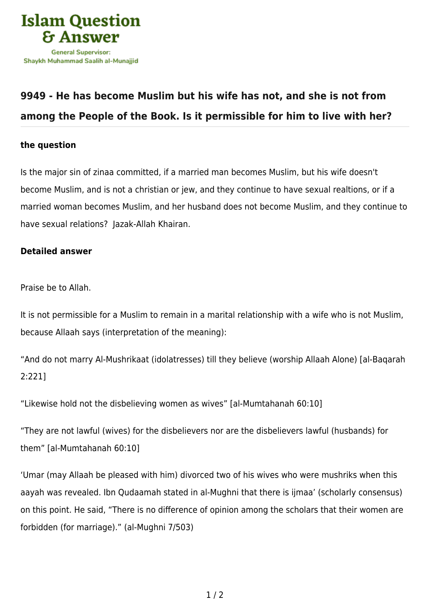

## **[9949 - He has become Muslim but his wife has not, and she is not from](https://islamqa.com/en/answers/9949/he-has-become-muslim-but-his-wife-has-not-and-she-is-not-from-among-the-people-of-the-book-is-it-permissible-for-him-to-live-with-her) [among the People of the Book. Is it permissible for him to live with her?](https://islamqa.com/en/answers/9949/he-has-become-muslim-but-his-wife-has-not-and-she-is-not-from-among-the-people-of-the-book-is-it-permissible-for-him-to-live-with-her)**

## **the question**

Is the major sin of zinaa committed, if a married man becomes Muslim, but his wife doesn't become Muslim, and is not a christian or jew, and they continue to have sexual realtions, or if a married woman becomes Muslim, and her husband does not become Muslim, and they continue to have sexual relations? Jazak-Allah Khairan.

## **Detailed answer**

Praise be to Allah.

It is not permissible for a Muslim to remain in a marital relationship with a wife who is not Muslim, because Allaah says (interpretation of the meaning):

"And do not marry Al-Mushrikaat (idolatresses) till they believe (worship Allaah Alone) [al-Baqarah 2:221]

"Likewise hold not the disbelieving women as wives" [al-Mumtahanah 60:10]

"They are not lawful (wives) for the disbelievers nor are the disbelievers lawful (husbands) for them" [al-Mumtahanah 60:10]

'Umar (may Allaah be pleased with him) divorced two of his wives who were mushriks when this aayah was revealed. Ibn Qudaamah stated in al-Mughni that there is ijmaa' (scholarly consensus) on this point. He said, "There is no difference of opinion among the scholars that their women are forbidden (for marriage)." (al-Mughni 7/503)